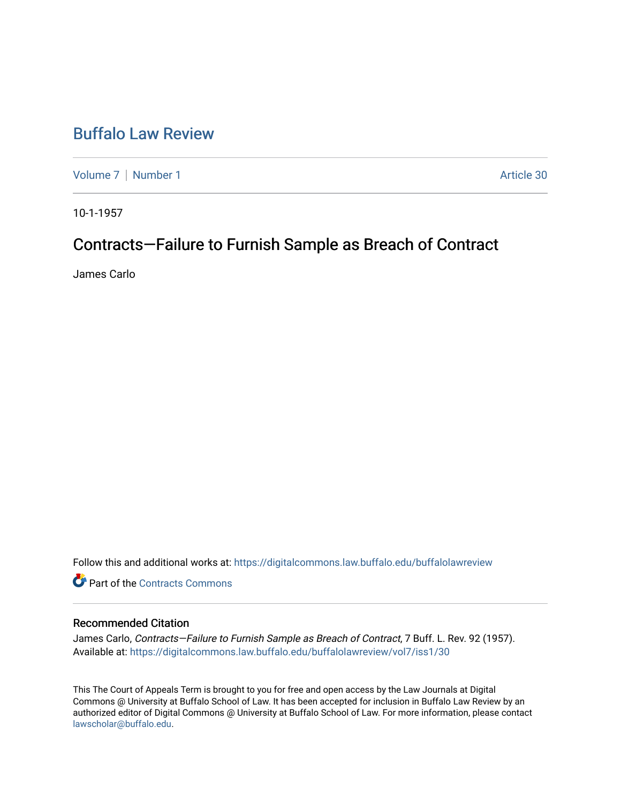# [Buffalo Law Review](https://digitalcommons.law.buffalo.edu/buffalolawreview)

[Volume 7](https://digitalcommons.law.buffalo.edu/buffalolawreview/vol7) | [Number 1](https://digitalcommons.law.buffalo.edu/buffalolawreview/vol7/iss1) Article 30

10-1-1957

# Contracts-Failure to Furnish Sample as Breach of Contract

James Carlo

Follow this and additional works at: [https://digitalcommons.law.buffalo.edu/buffalolawreview](https://digitalcommons.law.buffalo.edu/buffalolawreview?utm_source=digitalcommons.law.buffalo.edu%2Fbuffalolawreview%2Fvol7%2Fiss1%2F30&utm_medium=PDF&utm_campaign=PDFCoverPages) 

**C** Part of the [Contracts Commons](http://network.bepress.com/hgg/discipline/591?utm_source=digitalcommons.law.buffalo.edu%2Fbuffalolawreview%2Fvol7%2Fiss1%2F30&utm_medium=PDF&utm_campaign=PDFCoverPages)

## Recommended Citation

James Carlo, Contracts—Failure to Furnish Sample as Breach of Contract, 7 Buff. L. Rev. 92 (1957). Available at: [https://digitalcommons.law.buffalo.edu/buffalolawreview/vol7/iss1/30](https://digitalcommons.law.buffalo.edu/buffalolawreview/vol7/iss1/30?utm_source=digitalcommons.law.buffalo.edu%2Fbuffalolawreview%2Fvol7%2Fiss1%2F30&utm_medium=PDF&utm_campaign=PDFCoverPages) 

This The Court of Appeals Term is brought to you for free and open access by the Law Journals at Digital Commons @ University at Buffalo School of Law. It has been accepted for inclusion in Buffalo Law Review by an authorized editor of Digital Commons @ University at Buffalo School of Law. For more information, please contact [lawscholar@buffalo.edu](mailto:lawscholar@buffalo.edu).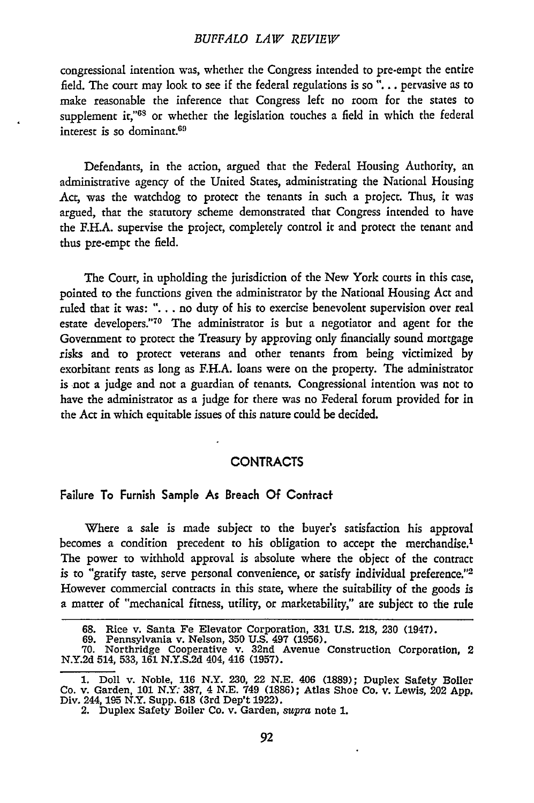### *BUFFALO LAW REVIEW*

congressional intention was, whether the Congress intended to pre-empt the entire field. The court may look to see if the federal regulations is so "... pervasive as to make reasonable the inference that Congress left no room for the states to supplement it,"<sup>68</sup> or whether the legislation touches a field in which the federal interest is so dominant.69

Defendants, in the action, argued that the Federal Housing Authority, an administrative agency of the United States, administrating the National Housing Act, was the watchdog to protect the tenants in such a project. Thus, it was argued, that the statutory scheme demonstrated that Congress intended to have the **F.H.A.** supervise the project, completely control it and protect the tenant and thus pre-empt the field.

The Court, in upholding the jurisdiction of the New York courts in this case, pointed to the functions given the administrator by the National Housing Act and ruled that it was: **". .** . no duty of his to exercise benevolent supervision over real estate developers."<sup>70</sup> The administrator is but a negotiator and agent for the Government to protect the Treasury by approving only financially sound mortgage risks and to protect veterans and other tenants from being victimized by exorbitant rents as long as F.H.A. loans were on the property. The administrator is -not a judge and not a guardian of tenants. Congressional intention was not to have the administrator as a judge for there was no Federal forum provided for in the Act in which equitable issues of this nature could be decided.

# **CONTRACTS**

#### Failure To Furnish Sample As Breach **Of** Confracf

Where a sale is made subject to the buyer's satisfaction his approval becomes a condition precedent to his obligation to accept the merchandise.<sup>1</sup> The power to withhold approval is absolute where the object of the contract is to "gratify taste, serve personal convenience, or satisfy individual preference."<sup>2</sup> However commercial contracts in this state, where the suitability of the goods is a matter of "mechanical fitness, utility, or marketability," are subject to the rule

**<sup>68.</sup>** Rice v. Santa Fe Elevator Corporation, **331 U.S.** 218, **230** (1947). **69.** Pennsylvania v. Nelson, **350 U.S.** 497 **(1956).**

**<sup>70.</sup>** Northridge Cooperative v. 32nd Avenue Construction Corporation, 2 **N.Y.2d** 514, **533, 161 N.Y.S.2d** 404, 416 **(1957).**

**<sup>1.</sup>** Doll v. Noble, **116** N.Y. **230,** 22 **N.E.** 406 **(1889);** Duplex Safety Boiler Co. v. Garden, **101** N.Y. **387,** 4 **N.E.** 749 **(1886);** Atlas Shoe Co. v. Lewis, 202 **App.** Div. 244, 195 N.Y. Supp. **618 (3rd** Dep't **1922).** 2. Duplex Safety Boiler Co. v. Garden, supra note **1.**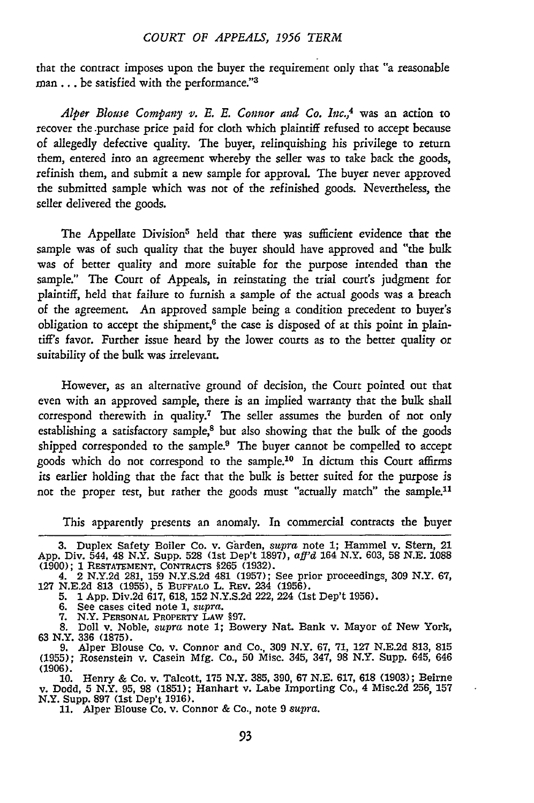### *COURT OF APPEALS, 1956 TERM*

that the contract imposes upon the buyer the requirement only that "a reasonable man ... be satisfied with the performance."<sup>3</sup>

*Alper Blouse Company v. E. E. Connor and Co. Inc.,4* was an action to recover the purchase price paid for cloth which plaintiff refused to accept because of allegedly defective quality. The buyer, relinquishing his privilege to return them, entered into an agreement whereby the seller was to take back the goods, refinish them, and submit a new sample for approval The buyer never approved the submitted sample which was not of the refinished goods. Nevertheless, the seller delivered the goods.

The Appellate Division<sup>5</sup> held that there was sufficient evidence that the sample was of such quality that the buyer should have approved and "the bulk was of better quality and more suitable for the purpose intended than the sample." The Court of Appeals, in reinstating the trial court's judgment for plaintiff, held that failure to furnish a sample of the actual goods was a breach of the agreement. An approved sample being a condition precedent to buyer's obligation to accept the shipment, $6$  the case is disposed of at this point in plaintiff's favor. Further issue heard by the lower courts as to the better quality or suitability of the bulk was irrelevant.

However, as an alternative ground of decision, the Court pointed out that even with an approved sample, there is an implied warranty that the bulk shall correspond therewith in quality.7 The seller assumes the burden of not only establishing a satisfactory sample,<sup>8</sup> but also showing that the bulk of the goods shipped corresponded to the sample.<sup>9</sup> The buyer cannot be compelled to accept goods which do not correspond to the sample.<sup>10</sup> In dictum this Court affirms its earlier holding that the fact that the bulk is better suited for the purpose is not the proper test, but rather the goods must "actually match" the sample.<sup>11</sup>

This apparently presents an anomaly. In commercial contracts the buyer

- 
- 

**6.** See cases cited note **1,** *supra.* **7.** N.Y. **PERSONAL** PROPERTY LAW **§97. 8.** Doll v. Noble, *supra* note **1;** Bowery Nat. Bank v. Mayor of New York, **63** N.Y. **336 (1875).**

**9.** Alper Blouse Co. v. Connor and Co., **309** N.Y. **67, 71, 127 N.E.2d 813, 815 (1955);** Rosenstein v. Casein Mfg. Co., 50 Misc. 345, 347, 98 N.Y. Supp. 645, 646 (1906).

10. Henry & Co. v. Talcott, **175** N.Y. 385, 390, 67 N.E. 617, **618** (1903); Beirne v. Dodd, **5** N.Y. 95, 98 (1851); Hanhart v. Labe Importing Co., 4 Misc.2d 256, 157 N.Y. Supp. 897 (1st Dep't 1916).

11. Alper Blouse Co. v. Connor & Co., note 9 *supra.*

<sup>3.</sup> Duplex Safety Boiler Co. v. Ghrden, *supra* note **1;** Hammel v. Stern, 21 App. Div. 544, 48 N.Y. Supp. 528 (1st Dep't 1897), aff'd 164 N.Y. 603, 58 N.E. 1088 (1900); 1 RESTATEMENT, CONTRACTS § 265 (1932).<br>4. 2 N.Y.2d 281, 159 N.Y.S.2d 481 (1957); See prior proceedings, 309 N.Y. 67, 127 N.E.2d 81

**<sup>5. 1</sup>** App. Div.2d 617, 618, 152 N.Y.S.2d 222, 224 **(lst** Dep't 1956).